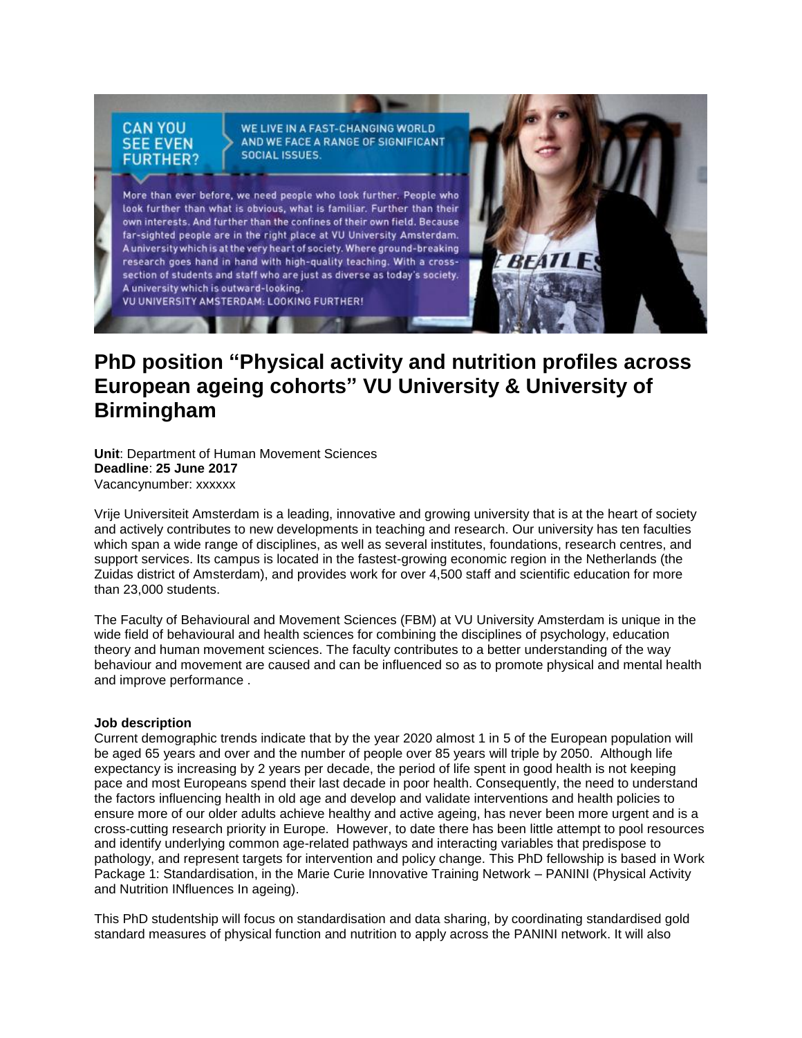## **CAN YOU SEE EVEN FURTHER?**

WE LIVE IN A FAST-CHANGING WORLD AND WE FACE A RANGE OF SIGNIFICANT **SOCIAL ISSUES.** 

More than ever before, we need people who look further. People who look further than what is obvious, what is familiar. Further than their own interests. And further than the confines of their own field. Because far-sighted people are in the right place at VU University Amsterdam. A university which is at the very heart of society. Where ground-breaking research goes hand in hand with high-quality teaching. With a crosssection of students and staff who are just as diverse as today's society. A university which is outward-looking.

VU UNIVERSITY AMSTERDAM: LOOKING FURTHER!

# **PhD position "Physical activity and nutrition profiles across European ageing cohorts" VU University & University of Birmingham**

**BFATI** 

**Unit**: Department of Human Movement Sciences **Deadline**: **25 June 2017** Vacancynumber: xxxxxx

Vrije Universiteit Amsterdam is a leading, innovative and growing university that is at the heart of society and actively contributes to new developments in teaching and research. Our university has ten faculties which span a wide range of disciplines, as well as several institutes, foundations, research centres, and support services. Its campus is located in the fastest-growing economic region in the Netherlands (the Zuidas district of Amsterdam), and provides work for over 4,500 staff and scientific education for more than 23,000 students.

The Faculty of Behavioural and Movement Sciences (FBM) at VU University Amsterdam is unique in the wide field of behavioural and health sciences for combining the disciplines of psychology, education theory and human movement sciences. The faculty contributes to a better understanding of the way behaviour and movement are caused and can be influenced so as to promote physical and mental health and improve performance .

#### **Job description**

Current demographic trends indicate that by the year 2020 almost 1 in 5 of the European population will be aged 65 years and over and the number of people over 85 years will triple by 2050. Although life expectancy is increasing by 2 years per decade, the period of life spent in good health is not keeping pace and most Europeans spend their last decade in poor health. Consequently, the need to understand the factors influencing health in old age and develop and validate interventions and health policies to ensure more of our older adults achieve healthy and active ageing, has never been more urgent and is a cross-cutting research priority in Europe. However, to date there has been little attempt to pool resources and identify underlying common age-related pathways and interacting variables that predispose to pathology, and represent targets for intervention and policy change. This PhD fellowship is based in Work Package 1: Standardisation, in the Marie Curie Innovative Training Network – PANINI (Physical Activity and Nutrition INfluences In ageing).

This PhD studentship will focus on standardisation and data sharing, by coordinating standardised gold standard measures of physical function and nutrition to apply across the PANINI network. It will also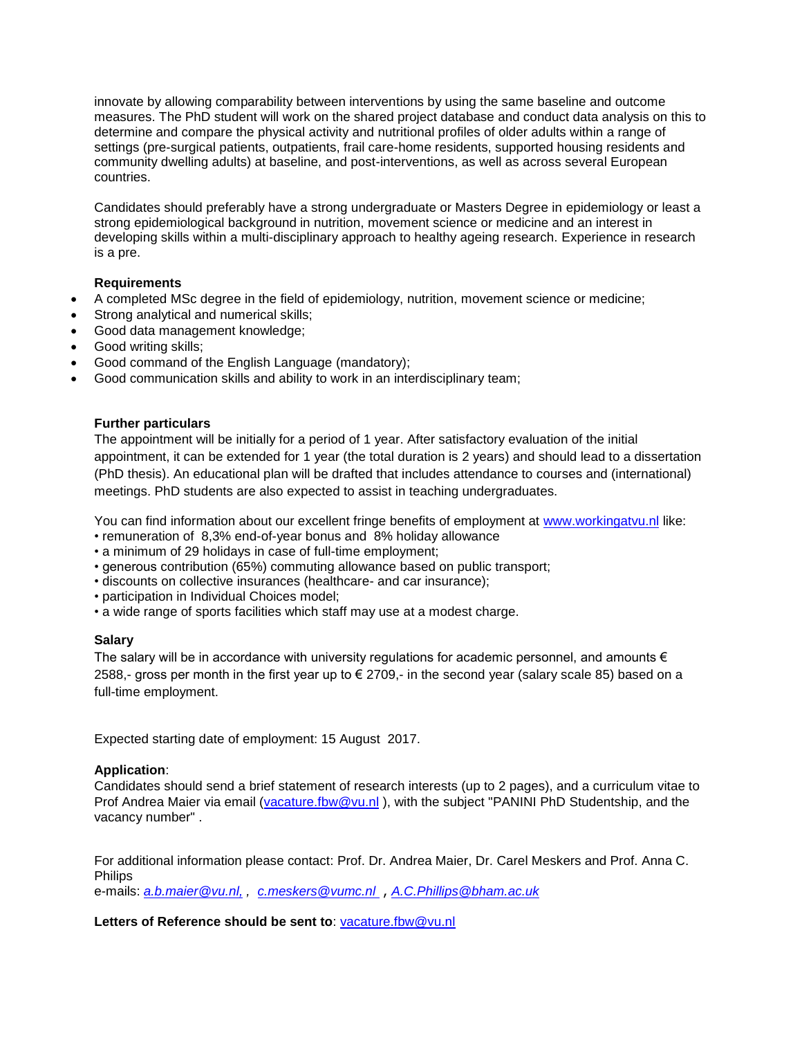innovate by allowing comparability between interventions by using the same baseline and outcome measures. The PhD student will work on the shared project database and conduct data analysis on this to determine and compare the physical activity and nutritional profiles of older adults within a range of settings (pre-surgical patients, outpatients, frail care-home residents, supported housing residents and community dwelling adults) at baseline, and post-interventions, as well as across several European countries.

Candidates should preferably have a strong undergraduate or Masters Degree in epidemiology or least a strong epidemiological background in nutrition, movement science or medicine and an interest in developing skills within a multi-disciplinary approach to healthy ageing research. Experience in research is a pre.

### **Requirements**

- A completed MSc degree in the field of epidemiology, nutrition, movement science or medicine;
- Strong analytical and numerical skills;
- Good data management knowledge;
- Good writing skills;
- Good command of the English Language (mandatory);
- Good communication skills and ability to work in an interdisciplinary team;

#### **Further particulars**

The appointment will be initially for a period of 1 year. After satisfactory evaluation of the initial appointment, it can be extended for 1 year (the total duration is 2 years) and should lead to a dissertation (PhD thesis). An educational plan will be drafted that includes attendance to courses and (international) meetings. PhD students are also expected to assist in teaching undergraduates.

You can find information about our excellent fringe benefits of employment at [www.workingatvu.nl](http://www.workingatvu.nl/) like:

- remuneration of 8,3% end-of-year bonus and 8% holiday allowance
- a minimum of 29 holidays in case of full-time employment;
- generous contribution (65%) commuting allowance based on public transport;
- discounts on collective insurances (healthcare- and car insurance);
- participation in Individual Choices model;
- a wide range of sports facilities which staff may use at a modest charge.

#### **Salary**

The salary will be in accordance with university regulations for academic personnel, and amounts  $\epsilon$ 2588,- gross per month in the first year up to  $\epsilon$  2709,- in the second year (salary scale 85) based on a full-time employment.

Expected starting date of employment: 15 August 2017.

#### **Application**:

Candidates should send a brief statement of research interests (up to 2 pages), and a curriculum vitae to Prof Andrea Maier via email [\(vacature.fbw@vu.nl](mailto:vacature.fbw@vu.nl)), with the subject "PANINI PhD Studentship, and the vacancy number" .

For additional information please contact: Prof. Dr. Andrea Maier, Dr. Carel Meskers and Prof. Anna C. **Philips** 

e-mails: *[a.b.maier@vu.nl,](mailto:a.b.maier@vu.nl) , [c.meskers@vumc.nl](mailto:c.meskers@vumc.nl)* , *[A.C.Phillips@bham.ac.uk](mailto:A.C.Phillips@bham.ac.uk)*

Letters of Reference should be sent to: [vacature.fbw@vu.nl](mailto:vacature.fbw@vu.nl)